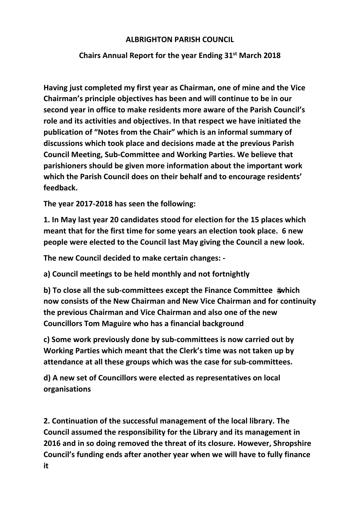## **ALBRIGHTON PARISH COUNCIL**

## **Chairs Annual Report for the year Ending 31st March 2018**

**Having just completed my first year as Chairman, one of mine and the Vice Chairman's principle objectives has been and will continue to be in our second year in office to make residents more aware of the Parish Council's role and its activities and objectives. In that respect we have initiated the publication of "Notes from the Chair" which is an informal summary of discussions which took place and decisions made at the previous Parish Council Meeting, Sub‐Committee and Working Parties. We believe that parishioners should be given more information about the important work which the Parish Council does on their behalf and to encourage residents' feedback.**

**The year 2017‐2018 has seen the following:**

**1. In May last year 20 candidates stood for election for the 15 places which meant that for the first time for some years an election took place. 6 new people were elected to the Council last May giving the Council a new look.**

**The new Council decided to make certain changes: ‐** 

**a) Council meetings to be held monthly and not fortnightly**

**b) To close all the sub‐committees except the Finance Committee which now consists of the New Chairman and New Vice Chairman and for continuity the previous Chairman and Vice Chairman and also one of the new Councillors Tom Maguire who has a financial background**

**c) Some work previously done by sub‐committees is now carried out by Working Parties which meant that the Clerk's time was not taken up by attendance at all these groups which was the case for sub‐committees.**

**d) A new set of Councillors were elected as representatives on local organisations**

**2. Continuation of the successful management of the local library. The Council assumed the responsibility for the Library and its management in 2016 and in so doing removed the threat of its closure. However, Shropshire Council's funding ends after another year when we will have to fully finance it**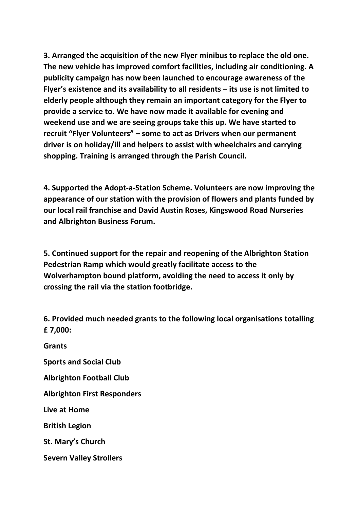**3. Arranged the acquisition of the new Flyer minibus to replace the old one. The new vehicle has improved comfort facilities, including air conditioning. A publicity campaign has now been launched to encourage awareness of the Flyer's existence and its availability to all residents – its use is not limited to elderly people although they remain an important category for the Flyer to provide a service to. We have now made it available for evening and weekend use and we are seeing groups take this up. We have started to recruit "Flyer Volunteers" – some to act as Drivers when our permanent driver is on holiday/ill and helpers to assist with wheelchairs and carrying shopping. Training is arranged through the Parish Council.**

**4. Supported the Adopt‐a‐Station Scheme. Volunteers are now improving the appearance of our station with the provision of flowers and plants funded by our local rail franchise and David Austin Roses, Kingswood Road Nurseries and Albrighton Business Forum.**

**5. Continued support for the repair and reopening of the Albrighton Station Pedestrian Ramp which would greatly facilitate access to the Wolverhampton bound platform, avoiding the need to access it only by crossing the rail via the station footbridge.**

**6. Provided much needed grants to the following local organisations totalling £ 7,000:**

**Grants**

**Sports and Social Club** 

**Albrighton Football Club** 

**Albrighton First Responders** 

**Live at Home** 

**British Legion** 

**St. Mary's Church** 

**Severn Valley Strollers**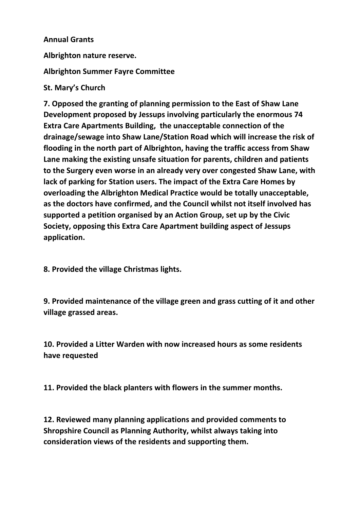## **Annual Grants**

**Albrighton nature reserve.** 

**Albrighton Summer Fayre Committee** 

## **St. Mary's Church**

**7. Opposed the granting of planning permission to the East of Shaw Lane Development proposed by Jessups involving particularly the enormous 74 Extra Care Apartments Building, the unacceptable connection of the drainage/sewage into Shaw Lane/Station Road which will increase the risk of flooding in the north part of Albrighton, having the traffic access from Shaw Lane making the existing unsafe situation for parents, children and patients to the Surgery even worse in an already very over congested Shaw Lane, with lack of parking for Station users. The impact of the Extra Care Homes by overloading the Albrighton Medical Practice would be totally unacceptable, as the doctors have confirmed, and the Council whilst not itself involved has supported a petition organised by an Action Group, set up by the Civic Society, opposing this Extra Care Apartment building aspect of Jessups application.**

**8. Provided the village Christmas lights.**

**9. Provided maintenance of the village green and grass cutting of it and other village grassed areas.**

**10. Provided a Litter Warden with now increased hours as some residents have requested**

**11. Provided the black planters with flowers in the summer months.**

**12. Reviewed many planning applications and provided comments to Shropshire Council as Planning Authority, whilst always taking into consideration views of the residents and supporting them.**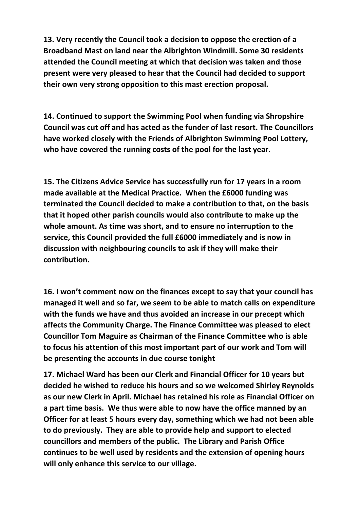**13. Very recently the Council took a decision to oppose the erection of a Broadband Mast on land near the Albrighton Windmill. Some 30 residents attended the Council meeting at which that decision was taken and those present were very pleased to hear that the Council had decided to support their own very strong opposition to this mast erection proposal.**

**14. Continued to support the Swimming Pool when funding via Shropshire Council was cut off and has acted as the funder of last resort. The Councillors have worked closely with the Friends of Albrighton Swimming Pool Lottery, who have covered the running costs of the pool for the last year.**

**15. The Citizens Advice Service has successfully run for 17 years in a room made available at the Medical Practice. When the £6000 funding was terminated the Council decided to make a contribution to that, on the basis that it hoped other parish councils would also contribute to make up the whole amount. As time was short, and to ensure no interruption to the service, this Council provided the full £6000 immediately and is now in discussion with neighbouring councils to ask if they will make their contribution.**

**16. I won't comment now on the finances except to say that your council has managed it well and so far, we seem to be able to match calls on expenditure with the funds we have and thus avoided an increase in our precept which affects the Community Charge. The Finance Committee was pleased to elect Councillor Tom Maguire as Chairman of the Finance Committee who is able to focus his attention of this most important part of our work and Tom will be presenting the accounts in due course tonight**

**17. Michael Ward has been our Clerk and Financial Officer for 10 years but decided he wished to reduce his hours and so we welcomed Shirley Reynolds as our new Clerk in April. Michael has retained his role as Financial Officer on a part time basis. We thus were able to now have the office manned by an Officer for at least 5 hours every day, something which we had not been able to do previously. They are able to provide help and support to elected councillors and members of the public. The Library and Parish Office continues to be well used by residents and the extension of opening hours will only enhance this service to our village.**